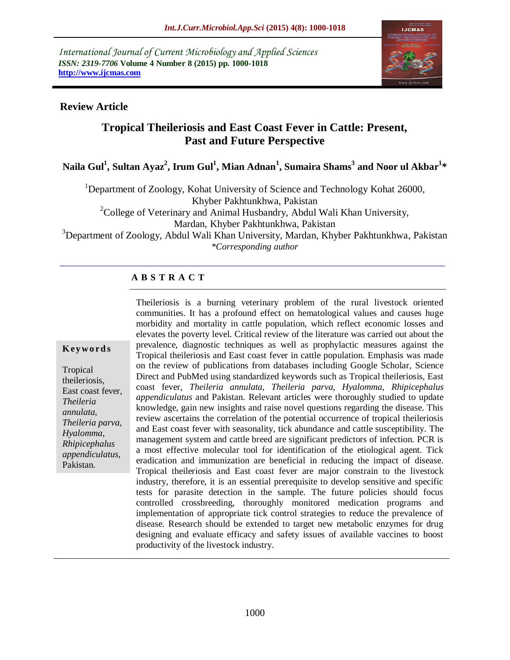*International Journal of Current Microbiology and Applied Sciences ISSN: 2319-7706* **Volume 4 Number 8 (2015) pp. 1000-1018 http://www.ijcmas.com** 



### **Review Article**

# **Tropical Theileriosis and East Coast Fever in Cattle: Present, Past and Future Perspective**

**Naila Gul<sup>1</sup> , Sultan Ayaz<sup>2</sup> , Irum Gul<sup>1</sup> , Mian Adnan<sup>1</sup> , Sumaira Shams<sup>3</sup> and Noor ul Akbar<sup>1</sup> \***

<sup>1</sup>Department of Zoology, Kohat University of Science and Technology Kohat 26000,

Khyber Pakhtunkhwa, Pakistan

 $2^2$ College of Veterinary and Animal Husbandry, Abdul Wali Khan University,

Mardan, Khyber Pakhtunkhwa, Pakistan

<sup>3</sup>Department of Zoology, Abdul Wali Khan University, Mardan, Khyber Pakhtunkhwa, Pakistan *\*Corresponding author*

# **A B S T R A C T**

#### **K ey w o rd s**

Tropical theileriosis, East coast fever, *Theileria annulata, Theileria parva, Hyalomma*, *Rhipicephalus appendiculatus*, Pakistan.

Theileriosis is a burning veterinary problem of the rural livestock oriented communities. It has a profound effect on hematological values and causes huge morbidity and mortality in cattle population, which reflect economic losses and elevates the poverty level. Critical review of the literature was carried out about the prevalence, diagnostic techniques as well as prophylactic measures against the Tropical theileriosis and East coast fever in cattle population. Emphasis was made on the review of publications from databases including Google Scholar, Science Direct and PubMed using standardized keywords such as Tropical theileriosis, East coast fever, *Theileria annulata, Theileria parva, Hyalomma*, *Rhipicephalus appendiculatus* and Pakistan. Relevant articles were thoroughly studied to update knowledge, gain new insights and raise novel questions regarding the disease. This review ascertains the correlation of the potential occurrence of tropical theileriosis and East coast fever with seasonality, tick abundance and cattle susceptibility. The management system and cattle breed are significant predictors of infection. PCR is a most effective molecular tool for identification of the etiological agent. Tick eradication and immunization are beneficial in reducing the impact of disease. Tropical theileriosis and East coast fever are major constrain to the livestock industry, therefore, it is an essential prerequisite to develop sensitive and specific tests for parasite detection in the sample. The future policies should focus controlled crossbreeding, thoroughly monitored medication programs and implementation of appropriate tick control strategies to reduce the prevalence of disease. Research should be extended to target new metabolic enzymes for drug designing and evaluate efficacy and safety issues of available vaccines to boost productivity of the livestock industry.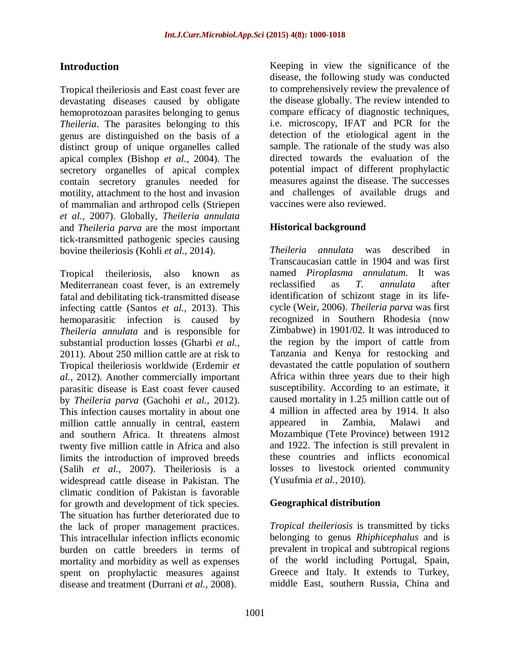# **Introduction**

Tropical theileriosis and East coast fever are devastating diseases caused by obligate hemoprotozoan parasites belonging to genus *Theileria*. The parasites belonging to this genus are distinguished on the basis of a distinct group of unique organelles called apical complex (Bishop *et al.,* 2004). The secretory organelles of apical complex contain secretory granules needed for motility, attachment to the host and invasion of mammalian and arthropod cells (Striepen *et al.,* 2007). Globally, *Theileria annulata* and *Theileria parva* are the most important tick-transmitted pathogenic species causing bovine theileriosis (Kohli *et al.,* 2014).

Tropical theileriosis, also known as Mediterranean coast fever, is an extremely fatal and debilitating tick-transmitted disease infecting cattle (Santos *et al.,* 2013). This hemoparasitic infection is caused by *Theileria annulata* and is responsible for substantial production losses (Gharbi *et al.,* 2011). About 250 million cattle are at risk to Tropical theileriosis worldwide (Erdemir *et al.,* 2012). Another commercially important parasitic disease is East coast fever caused by *Theileria parva* (Gachohi *et al.,* 2012). This infection causes mortality in about one million cattle annually in central, eastern and southern Africa. It threatens almost twenty five million cattle in Africa and also limits the introduction of improved breeds (Salih *et al.,* 2007). Theileriosis is a widespread cattle disease in Pakistan. The climatic condition of Pakistan is favorable for growth and development of tick species. The situation has further deteriorated due to the lack of proper management practices. This intracellular infection inflicts economic burden on cattle breeders in terms of mortality and morbidity as well as expenses spent on prophylactic measures against disease and treatment (Durrani *et al.,* 2008).

Keeping in view the significance of the disease, the following study was conducted to comprehensively review the prevalence of the disease globally. The review intended to compare efficacy of diagnostic techniques, i.e. microscopy, IFAT and PCR for the detection of the etiological agent in the sample. The rationale of the study was also directed towards the evaluation of the potential impact of different prophylactic measures against the disease. The successes and challenges of available drugs and vaccines were also reviewed.

### **Historical background**

*Theileria annulata* was described in Transcaucasian cattle in 1904 and was first named *Piroplasma annulatum*. It was reclassified as *T. annulata* after identification of schizont stage in its lifecycle (Weir, 2006). *Theileria parva* was first recognized in Southern Rhodesia (now Zimbabwe) in 1901/02. It was introduced to the region by the import of cattle from Tanzania and Kenya for restocking and devastated the cattle population of southern Africa within three years due to their high susceptibility. According to an estimate, it caused mortality in 1.25 million cattle out of 4 million in affected area by 1914. It also appeared in Zambia, Malawi and Mozambique (Tete Province) between 1912 and 1922. The infection is still prevalent in these countries and inflicts economical losses to livestock oriented community (Yusufmia *et al.,* 2010).

### **Geographical distribution**

*Tropical theileriosis* is transmitted by ticks belonging to genus *Rhiphicephalus* and is prevalent in tropical and subtropical regions of the world including Portugal, Spain, Greece and Italy. It extends to Turkey, middle East, southern Russia, China and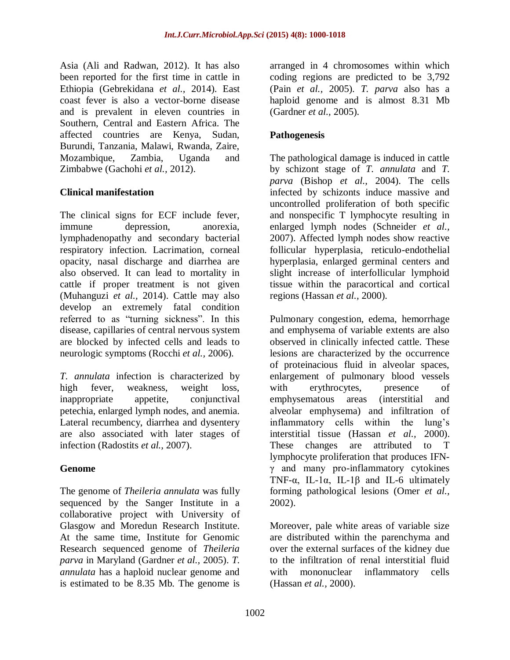Asia (Ali and Radwan, 2012). It has also been reported for the first time in cattle in Ethiopia (Gebrekidana *et al.,* 2014). East coast fever is also a vector-borne disease and is prevalent in eleven countries in Southern, Central and Eastern Africa. The affected countries are Kenya, Sudan, Burundi, Tanzania, Malawi, Rwanda, Zaire, Mozambique, Zambia, Uganda and Zimbabwe (Gachohi *et al.,* 2012).

### **Clinical manifestation**

The clinical signs for ECF include fever, immune depression, anorexia, lymphadenopathy and secondary bacterial respiratory infection. Lacrimation, corneal opacity, nasal discharge and diarrhea are also observed. It can lead to mortality in cattle if proper treatment is not given (Muhanguzi *et al.,* 2014). Cattle may also develop an extremely fatal condition referred to as "turning sickness". In this disease, capillaries of central nervous system are blocked by infected cells and leads to neurologic symptoms (Rocchi *et al.,* 2006).

*T. annulata* infection is characterized by high fever, weakness, weight loss, inappropriate appetite, conjunctival petechia, enlarged lymph nodes, and anemia. Lateral recumbency, diarrhea and dysentery are also associated with later stages of infection (Radostits *et al.,* 2007).

### **Genome**

The genome of *Theileria annulata* was fully sequenced by the Sanger Institute in a collaborative project with University of Glasgow and Moredun Research Institute. At the same time, Institute for Genomic Research sequenced genome of *Theileria parva* in Maryland (Gardner *et al.,* 2005). *T. annulata* has a haploid nuclear genome and is estimated to be 8.35 Mb. The genome is

arranged in 4 chromosomes within which coding regions are predicted to be 3,792 (Pain *et al.,* 2005). *T. parva* also has a haploid genome and is almost 8.31 Mb (Gardner *et al.,* 2005).

## **Pathogenesis**

The pathological damage is induced in cattle by schizont stage of *T. annulata* and *T. parva* (Bishop *et al.,* 2004). The cells infected by schizonts induce massive and uncontrolled proliferation of both specific and nonspecific T lymphocyte resulting in enlarged lymph nodes (Schneider *et al.,* 2007). Affected lymph nodes show reactive follicular hyperplasia, reticulo-endothelial hyperplasia, enlarged germinal centers and slight increase of interfollicular lymphoid tissue within the paracortical and cortical regions (Hassan *et al.,* 2000).

Pulmonary congestion, edema, hemorrhage and emphysema of variable extents are also observed in clinically infected cattle. These lesions are characterized by the occurrence of proteinacious fluid in alveolar spaces, enlargement of pulmonary blood vessels with erythrocytes, presence of emphysematous areas (interstitial and alveolar emphysema) and infiltration of inflammatory cells within the lung's interstitial tissue (Hassan *et al.,* 2000). These changes are attributed to T lymphocyte proliferation that produces IFNγ and many pro-inflammatory cytokines TNF- $\alpha$ , IL-1 $\alpha$ , IL-1 $\beta$  and IL-6 ultimately forming pathological lesions (Omer *et al.,* 2002).

Moreover, pale white areas of variable size are distributed within the parenchyma and over the external surfaces of the kidney due to the infiltration of renal interstitial fluid with mononuclear inflammatory cells (Hassan *et al.,* 2000).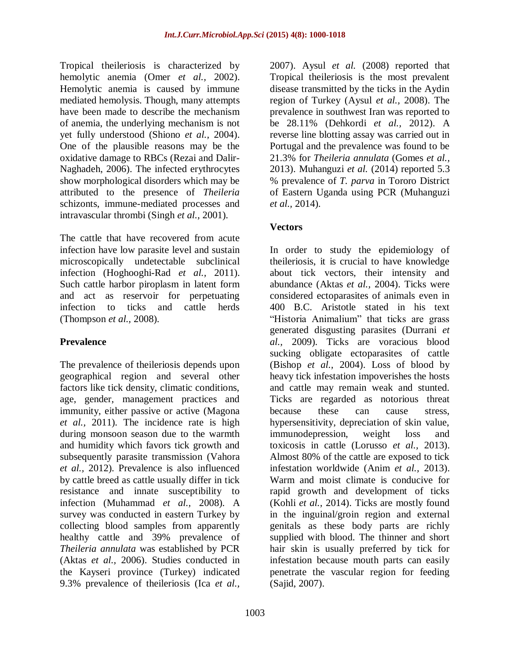Tropical theileriosis is characterized by hemolytic anemia (Omer *et al.,* 2002). Hemolytic anemia is caused by immune mediated hemolysis. Though, many attempts have been made to describe the mechanism of anemia, the underlying mechanism is not yet fully understood (Shiono *et al.,* 2004). One of the plausible reasons may be the oxidative damage to RBCs (Rezai and Dalir-Naghadeh, 2006). The infected erythrocytes show morphological disorders which may be attributed to the presence of *Theileria* schizonts, immune-mediated processes and intravascular thrombi (Singh *et al.,* 2001).

The cattle that have recovered from acute infection have low parasite level and sustain microscopically undetectable subclinical infection (Hoghooghi-Rad *et al.,* 2011). Such cattle harbor piroplasm in latent form and act as reservoir for perpetuating infection to ticks and cattle herds (Thompson *et al.,* 2008).

## **Prevalence**

The prevalence of theileriosis depends upon geographical region and several other factors like tick density, climatic conditions, age, gender, management practices and immunity, either passive or active (Magona *et al.,* 2011). The incidence rate is high during monsoon season due to the warmth and humidity which favors tick growth and subsequently parasite transmission (Vahora *et al.,* 2012). Prevalence is also influenced by cattle breed as cattle usually differ in tick resistance and innate susceptibility to infection (Muhammad *et al.,* 2008). A survey was conducted in eastern Turkey by collecting blood samples from apparently healthy cattle and 39% prevalence of *Theileria annulata* was established by PCR (Aktas *et al.,* 2006). Studies conducted in the Kayseri province (Turkey) indicated 9.3% prevalence of theileriosis (Ica *et al.,*

2007). Aysul *et al.* (2008) reported that Tropical theileriosis is the most prevalent disease transmitted by the ticks in the Aydin region of Turkey (Aysul *et al.,* 2008). The prevalence in southwest Iran was reported to be 28.11% (Dehkordi *et al.,* 2012). A reverse line blotting assay was carried out in Portugal and the prevalence was found to be 21.3% for *Theileria annulata* (Gomes *et al.,* 2013). Muhanguzi *et al.* (2014) reported 5.3 % prevalence of *T. parva* in Tororo District of Eastern Uganda using PCR (Muhanguzi *et al.,* 2014).

# **Vectors**

In order to study the epidemiology of theileriosis, it is crucial to have knowledge about tick vectors, their intensity and abundance (Aktas *et al.,* 2004). Ticks were considered ectoparasites of animals even in 400 B.C. Aristotle stated in his text "Historia Animalium" that ticks are grass generated disgusting parasites (Durrani *et al.,* 2009). Ticks are voracious blood sucking obligate ectoparasites of cattle (Bishop *et al.,* 2004). Loss of blood by heavy tick infestation impoverishes the hosts and cattle may remain weak and stunted. Ticks are regarded as notorious threat because these can cause stress, hypersensitivity, depreciation of skin value, immunodepression, weight loss and toxicosis in cattle (Lorusso *et al.,* 2013). Almost 80% of the cattle are exposed to tick infestation worldwide (Anim *et al.,* 2013). Warm and moist climate is conducive for rapid growth and development of ticks (Kohli *et al.,* 2014). Ticks are mostly found in the inguinal/groin region and external genitals as these body parts are richly supplied with blood. The thinner and short hair skin is usually preferred by tick for infestation because mouth parts can easily penetrate the vascular region for feeding (Sajid, 2007).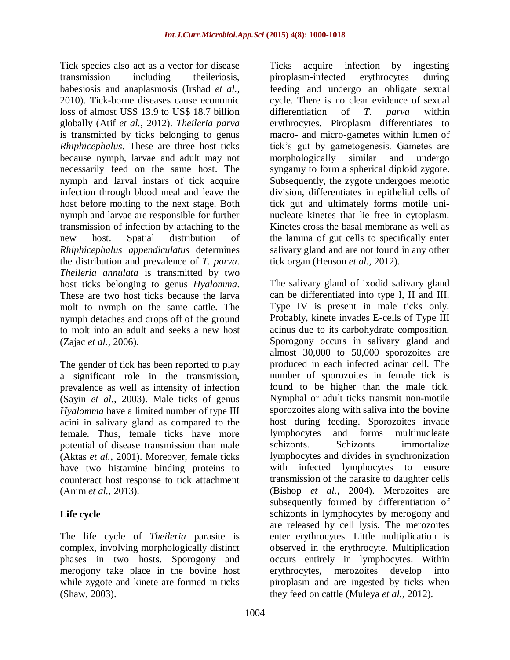Tick species also act as a vector for disease transmission including theileriosis, babesiosis and anaplasmosis (Irshad *et al.,* 2010). Tick-borne diseases cause economic loss of almost US\$ 13.9 to US\$ 18.7 billion globally (Atif *et al.,* 2012). *Theileria parva* is transmitted by ticks belonging to genus *Rhiphicephalus*. These are three host ticks because nymph, larvae and adult may not necessarily feed on the same host. The nymph and larval instars of tick acquire infection through blood meal and leave the host before molting to the next stage. Both nymph and larvae are responsible for further transmission of infection by attaching to the new host. Spatial distribution of *Rhiphicephalus appendiculatus* determines the distribution and prevalence of *T. parva*. *Theileria annulata* is transmitted by two host ticks belonging to genus *Hyalomma*. These are two host ticks because the larva molt to nymph on the same cattle. The nymph detaches and drops off of the ground to molt into an adult and seeks a new host (Zajac *et al.,* 2006).

The gender of tick has been reported to play a significant role in the transmission, prevalence as well as intensity of infection (Sayin *et al.,* 2003). Male ticks of genus *Hyalomma* have a limited number of type III acini in salivary gland as compared to the female. Thus, female ticks have more potential of disease transmission than male (Aktas *et al.,* 2001). Moreover, female ticks have two histamine binding proteins to counteract host response to tick attachment (Anim *et al.,* 2013).

## **Life cycle**

The life cycle of *Theileria* parasite is complex, involving morphologically distinct phases in two hosts. Sporogony and merogony take place in the bovine host while zygote and kinete are formed in ticks (Shaw, 2003).

Ticks acquire infection by ingesting piroplasm-infected erythrocytes during feeding and undergo an obligate sexual cycle. There is no clear evidence of sexual differentiation of *T. parva* within erythrocytes. Piroplasm differentiates to macro- and micro-gametes within lumen of tick's gut by gametogenesis. Gametes are morphologically similar and undergo syngamy to form a spherical diploid zygote. Subsequently, the zygote undergoes meiotic division, differentiates in epithelial cells of tick gut and ultimately forms motile uninucleate kinetes that lie free in cytoplasm. Kinetes cross the basal membrane as well as the lamina of gut cells to specifically enter salivary gland and are not found in any other tick organ (Henson *et al.,* 2012).

The salivary gland of ixodid salivary gland can be differentiated into type I, II and III. Type IV is present in male ticks only. Probably, kinete invades E-cells of Type III acinus due to its carbohydrate composition. Sporogony occurs in salivary gland and almost 30,000 to 50,000 sporozoites are produced in each infected acinar cell. The number of sporozoites in female tick is found to be higher than the male tick. Nymphal or adult ticks transmit non-motile sporozoites along with saliva into the bovine host during feeding. Sporozoites invade lymphocytes and forms multinucleate schizonts. Schizonts immortalize lymphocytes and divides in synchronization with infected lymphocytes to ensure transmission of the parasite to daughter cells (Bishop *et al.,* 2004). Merozoites are subsequently formed by differentiation of schizonts in lymphocytes by merogony and are released by cell lysis. The merozoites enter erythrocytes. Little multiplication is observed in the erythrocyte. Multiplication occurs entirely in lymphocytes. Within erythrocytes, merozoites develop into piroplasm and are ingested by ticks when they feed on cattle (Muleya *et al.,* 2012).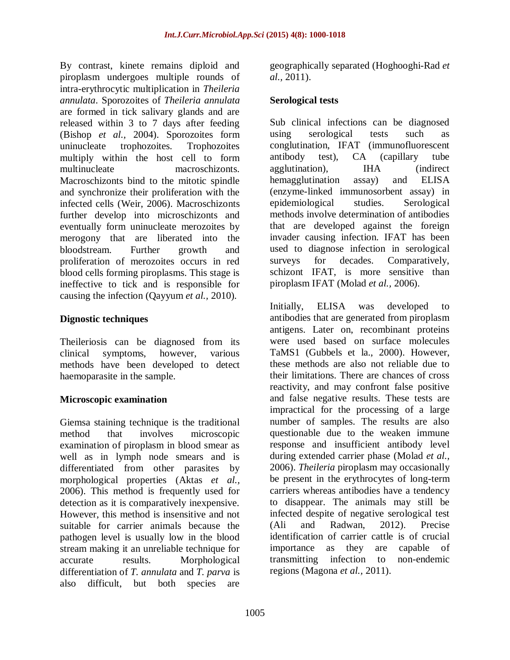By contrast, kinete remains diploid and piroplasm undergoes multiple rounds of intra-erythrocytic multiplication in *Theileria annulata*. Sporozoites of *Theileria annulata* are formed in tick salivary glands and are released within 3 to 7 days after feeding (Bishop *et al.,* 2004). Sporozoites form uninucleate trophozoites. Trophozoites multiply within the host cell to form multinucleate macroschizonts. Macroschizonts bind to the mitotic spindle and synchronize their proliferation with the infected cells (Weir, 2006). Macroschizonts further develop into microschizonts and eventually form uninucleate merozoites by merogony that are liberated into the bloodstream. Further growth and proliferation of merozoites occurs in red blood cells forming piroplasms. This stage is ineffective to tick and is responsible for causing the infection (Qayyum *et al.,* 2010).

### **Dignostic techniques**

Theileriosis can be diagnosed from its clinical symptoms, however, various methods have been developed to detect haemoparasite in the sample.

### **Microscopic examination**

Giemsa staining technique is the traditional method that involves microscopic examination of piroplasm in blood smear as well as in lymph node smears and is differentiated from other parasites by morphological properties (Aktas *et al.,* 2006). This method is frequently used for detection as it is comparatively inexpensive. However, this method is insensitive and not suitable for carrier animals because the pathogen level is usually low in the blood stream making it an unreliable technique for accurate results. Morphological differentiation of *T. annulata* and *T. parva* is also difficult, but both species are

geographically separated (Hoghooghi-Rad *et al.,* 2011).

## **Serological tests**

Sub clinical infections can be diagnosed using serological tests such as conglutination, IFAT (immunofluorescent antibody test), CA (capillary tube agglutination), IHA (indirect hemagglutination assay) and ELISA (enzyme-linked immunosorbent assay) in epidemiological studies. Serological methods involve determination of antibodies that are developed against the foreign invader causing infection. IFAT has been used to diagnose infection in serological surveys for decades. Comparatively, schizont IFAT, is more sensitive than piroplasm IFAT (Molad *et al.,* 2006).

Initially, ELISA was developed to antibodies that are generated from piroplasm antigens. Later on, recombinant proteins were used based on surface molecules TaMS1 (Gubbels et la., 2000). However, these methods are also not reliable due to their limitations. There are chances of cross reactivity, and may confront false positive and false negative results. These tests are impractical for the processing of a large number of samples. The results are also questionable due to the weaken immune response and insufficient antibody level during extended carrier phase (Molad *et al.,* 2006). *Theileria* piroplasm may occasionally be present in the erythrocytes of long-term carriers whereas antibodies have a tendency to disappear. The animals may still be infected despite of negative serological test (Ali and Radwan, 2012). Precise identification of carrier cattle is of crucial importance as they are capable of transmitting infection to non-endemic regions (Magona *et al.,* 2011).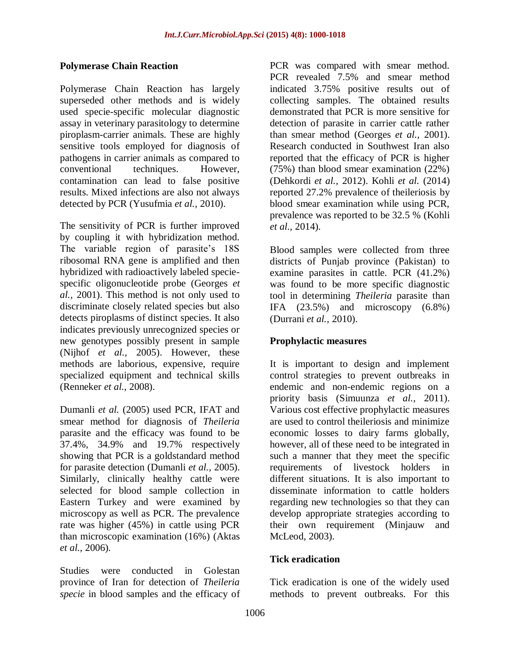### **Polymerase Chain Reaction**

Polymerase Chain Reaction has largely superseded other methods and is widely used specie-specific molecular diagnostic assay in veterinary parasitology to determine piroplasm-carrier animals. These are highly sensitive tools employed for diagnosis of pathogens in carrier animals as compared to conventional techniques. However, contamination can lead to false positive results. Mixed infections are also not always detected by PCR (Yusufmia *et al.,* 2010).

The sensitivity of PCR is further improved by coupling it with hybridization method. The variable region of parasite's 18S ribosomal RNA gene is amplified and then hybridized with radioactively labeled speciespecific oligonucleotide probe (Georges *et al.,* 2001). This method is not only used to discriminate closely related species but also detects piroplasms of distinct species. It also indicates previously unrecognized species or new genotypes possibly present in sample (Nijhof *et al.,* 2005). However, these methods are laborious, expensive, require specialized equipment and technical skills (Renneker *et al.,* 2008).

Dumanli *et al.* (2005) used PCR, IFAT and smear method for diagnosis of *Theileria* parasite and the efficacy was found to be 37.4%, 34.9% and 19.7% respectively showing that PCR is a goldstandard method for parasite detection (Dumanli *et al.,* 2005). Similarly, clinically healthy cattle were selected for blood sample collection in Eastern Turkey and were examined by microscopy as well as PCR. The prevalence rate was higher (45%) in cattle using PCR than microscopic examination (16%) (Aktas *et al.,* 2006).

Studies were conducted in Golestan province of Iran for detection of *Theileria specie* in blood samples and the efficacy of PCR was compared with smear method. PCR revealed 7.5% and smear method indicated 3.75% positive results out of collecting samples. The obtained results demonstrated that PCR is more sensitive for detection of parasite in carrier cattle rather than smear method (Georges *et al.,* 2001). Research conducted in Southwest Iran also reported that the efficacy of PCR is higher (75%) than blood smear examination (22%) (Dehkordi *et al.,* 2012). Kohli *et al.* (2014) reported 27.2% prevalence of theileriosis by blood smear examination while using PCR, prevalence was reported to be 32.5 % (Kohli *et al.,* 2014).

Blood samples were collected from three districts of Punjab province (Pakistan) to examine parasites in cattle. PCR (41.2%) was found to be more specific diagnostic tool in determining *Theileria* parasite than IFA  $(23.5\%)$  and microscopy  $(6.8\%)$ (Durrani *et al.,* 2010).

### **Prophylactic measures**

It is important to design and implement control strategies to prevent outbreaks in endemic and non-endemic regions on a priority basis (Simuunza *et al.,* 2011). Various cost effective prophylactic measures are used to control theileriosis and minimize economic losses to dairy farms globally, however, all of these need to be integrated in such a manner that they meet the specific requirements of livestock holders in different situations. It is also important to disseminate information to cattle holders regarding new technologies so that they can develop appropriate strategies according to their own requirement (Minjauw and McLeod, 2003).

## **Tick eradication**

Tick eradication is one of the widely used methods to prevent outbreaks. For this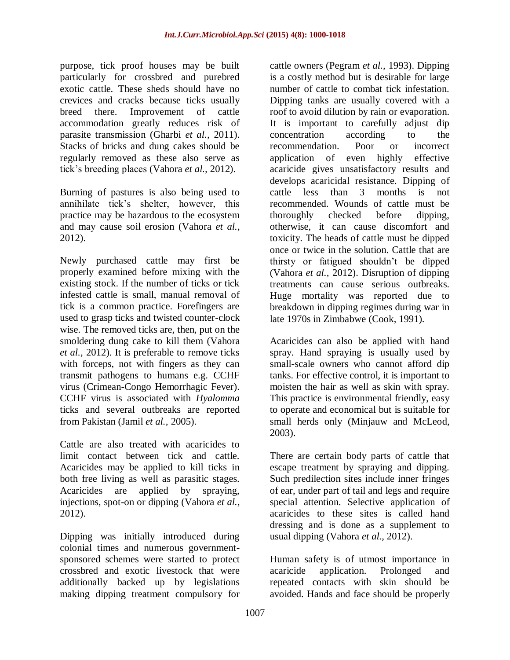purpose, tick proof houses may be built particularly for crossbred and purebred exotic cattle. These sheds should have no crevices and cracks because ticks usually breed there. Improvement of cattle accommodation greatly reduces risk of parasite transmission (Gharbi *et al.,* 2011). Stacks of bricks and dung cakes should be regularly removed as these also serve as tick's breeding places (Vahora *et al.,* 2012).

Burning of pastures is also being used to annihilate tick's shelter, however, this practice may be hazardous to the ecosystem and may cause soil erosion (Vahora *et al.,* 2012).

Newly purchased cattle may first be properly examined before mixing with the existing stock. If the number of ticks or tick infested cattle is small, manual removal of tick is a common practice. Forefingers are used to grasp ticks and twisted counter-clock wise. The removed ticks are, then, put on the smoldering dung cake to kill them (Vahora *et al.,* 2012). It is preferable to remove ticks with forceps, not with fingers as they can transmit pathogens to humans e.g. CCHF virus (Crimean-Congo Hemorrhagic Fever). CCHF virus is associated with *Hyalomma* ticks and several outbreaks are reported from Pakistan (Jamil *et al.,* 2005).

Cattle are also treated with acaricides to limit contact between tick and cattle. Acaricides may be applied to kill ticks in both free living as well as parasitic stages. Acaricides are applied by spraying, injections, spot-on or dipping (Vahora *et al.,* 2012).

Dipping was initially introduced during colonial times and numerous governmentsponsored schemes were started to protect crossbred and exotic livestock that were additionally backed up by legislations making dipping treatment compulsory for

cattle owners (Pegram *et al.,* 1993). Dipping is a costly method but is desirable for large number of cattle to combat tick infestation. Dipping tanks are usually covered with a roof to avoid dilution by rain or evaporation. It is important to carefully adjust dip concentration according to the recommendation. Poor or incorrect application of even highly effective acaricide gives unsatisfactory results and develops acaricidal resistance. Dipping of cattle less than 3 months is not recommended. Wounds of cattle must be thoroughly checked before dipping, otherwise, it can cause discomfort and toxicity. The heads of cattle must be dipped once or twice in the solution. Cattle that are thirsty or fatigued shouldn't be dipped (Vahora *et al.,* 2012). Disruption of dipping treatments can cause serious outbreaks. Huge mortality was reported due to breakdown in dipping regimes during war in late 1970s in Zimbabwe (Cook, 1991).

Acaricides can also be applied with hand spray. Hand spraying is usually used by small-scale owners who cannot afford dip tanks. For effective control, it is important to moisten the hair as well as skin with spray. This practice is environmental friendly, easy to operate and economical but is suitable for small herds only (Minjauw and McLeod, 2003).

There are certain body parts of cattle that escape treatment by spraying and dipping. Such predilection sites include inner fringes of ear, under part of tail and legs and require special attention. Selective application of acaricides to these sites is called hand dressing and is done as a supplement to usual dipping (Vahora *et al.,* 2012).

Human safety is of utmost importance in acaricide application. Prolonged and repeated contacts with skin should be avoided. Hands and face should be properly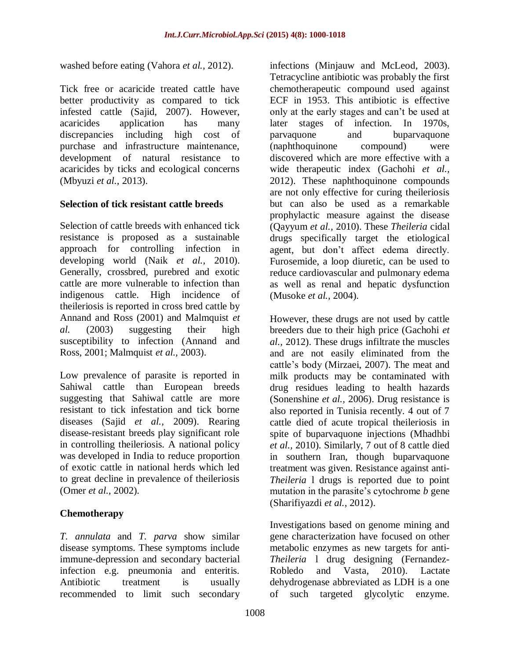washed before eating (Vahora *et al.,* 2012).

Tick free or acaricide treated cattle have better productivity as compared to tick infested cattle (Sajid, 2007). However, acaricides application has many discrepancies including high cost of purchase and infrastructure maintenance, development of natural resistance to acaricides by ticks and ecological concerns (Mbyuzi *et al.,* 2013).

### **Selection of tick resistant cattle breeds**

Selection of cattle breeds with enhanced tick resistance is proposed as a sustainable approach for controlling infection in developing world (Naik *et al.,* 2010). Generally, crossbred, purebred and exotic cattle are more vulnerable to infection than indigenous cattle. High incidence of theileriosis is reported in cross bred cattle by Annand and Ross (2001) and Malmquist *et al.* (2003) suggesting their high susceptibility to infection (Annand and Ross, 2001; Malmquist *et al.,* 2003).

Low prevalence of parasite is reported in Sahiwal cattle than European breeds suggesting that Sahiwal cattle are more resistant to tick infestation and tick borne diseases (Sajid *et al.,* 2009). Rearing disease-resistant breeds play significant role in controlling theileriosis. A national policy was developed in India to reduce proportion of exotic cattle in national herds which led to great decline in prevalence of theileriosis (Omer *et al.,* 2002).

## **Chemotherapy**

*T. annulata* and *T. parva* show similar disease symptoms. These symptoms include immune-depression and secondary bacterial infection e.g. pneumonia and enteritis. Antibiotic treatment is usually recommended to limit such secondary

infections (Minjauw and McLeod, 2003). Tetracycline antibiotic was probably the first chemotherapeutic compound used against ECF in 1953. This antibiotic is effective only at the early stages and can't be used at later stages of infection. In 1970s, parvaquone and buparvaquone (naphthoquinone compound) were discovered which are more effective with a wide therapeutic index (Gachohi *et al.,* 2012). These naphthoquinone compounds are not only effective for curing theileriosis but can also be used as a remarkable prophylactic measure against the disease (Qayyum *et al.,* 2010). These *Theileria* cidal drugs specifically target the etiological agent, but don't affect edema directly. Furosemide, a loop diuretic, can be used to reduce cardiovascular and pulmonary edema as well as renal and hepatic dysfunction (Musoke *et al.,* 2004).

However, these drugs are not used by cattle breeders due to their high price (Gachohi *et al.,* 2012). These drugs infiltrate the muscles and are not easily eliminated from the cattle's body (Mirzaei, 2007). The meat and milk products may be contaminated with drug residues leading to health hazards (Sonenshine *et al.,* 2006). Drug resistance is also reported in Tunisia recently. 4 out of 7 cattle died of acute tropical theileriosis in spite of buparvaquone injections (Mhadhbi *et al.,* 2010). Similarly, 7 out of 8 cattle died in southern Iran, though buparvaquone treatment was given. Resistance against anti-*Theileria* l drugs is reported due to point mutation in the parasite's cytochrome *b* gene (Sharifiyazdi *et al.,* 2012).

Investigations based on genome mining and gene characterization have focused on other metabolic enzymes as new targets for anti-*Theileria* l drug designing (Fernandez-Robledo and Vasta, 2010). Lactate dehydrogenase abbreviated as LDH is a one of such targeted glycolytic enzyme.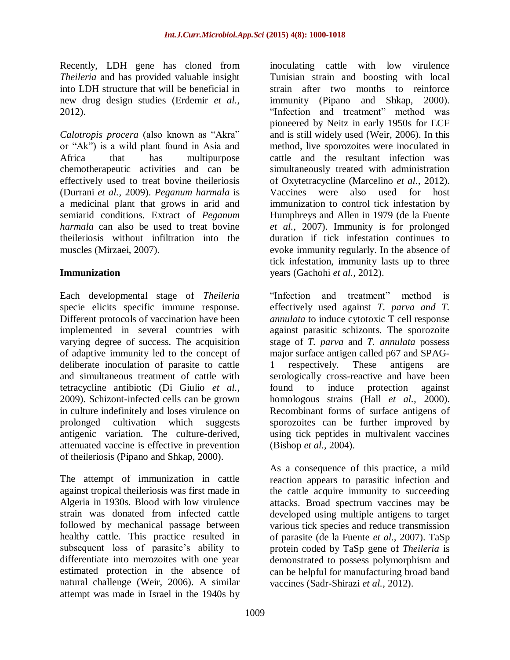Recently, LDH gene has cloned from *Theileria* and has provided valuable insight into LDH structure that will be beneficial in new drug design studies (Erdemir *et al.,* 2012).

*Calotropis procera* (also known as "Akra" or "Ak") is a wild plant found in Asia and Africa that has multipurpose chemotherapeutic activities and can be effectively used to treat bovine theileriosis (Durrani *et al.,* 2009). *Peganum harmala* is a medicinal plant that grows in arid and semiarid conditions. Extract of *Peganum harmala* can also be used to treat bovine theileriosis without infiltration into the muscles (Mirzaei, 2007).

### **Immunization**

Each developmental stage of *Theileria* specie elicits specific immune response. Different protocols of vaccination have been implemented in several countries with varying degree of success. The acquisition of adaptive immunity led to the concept of deliberate inoculation of parasite to cattle and simultaneous treatment of cattle with tetracycline antibiotic (Di Giulio *et al.,* 2009). Schizont-infected cells can be grown in culture indefinitely and loses virulence on prolonged cultivation which suggests antigenic variation. The culture-derived, attenuated vaccine is effective in prevention of theileriosis (Pipano and Shkap, 2000).

The attempt of immunization in cattle against tropical theileriosis was first made in Algeria in 1930s. Blood with low virulence strain was donated from infected cattle followed by mechanical passage between healthy cattle. This practice resulted in subsequent loss of parasite's ability to differentiate into merozoites with one year estimated protection in the absence of natural challenge (Weir, 2006). A similar attempt was made in Israel in the 1940s by

inoculating cattle with low virulence Tunisian strain and boosting with local strain after two months to reinforce immunity (Pipano and Shkap, 2000). "Infection and treatment" method was pioneered by Neitz in early 1950s for ECF and is still widely used (Weir, 2006). In this method, live sporozoites were inoculated in cattle and the resultant infection was simultaneously treated with administration of Oxytetracycline (Marcelino *et al.,* 2012). Vaccines were also used for host immunization to control tick infestation by Humphreys and Allen in 1979 (de la Fuente *et al.,* 2007). Immunity is for prolonged duration if tick infestation continues to evoke immunity regularly. In the absence of tick infestation, immunity lasts up to three years (Gachohi *et al.,* 2012).

"Infection and treatment" method is effectively used against *T. parva and T. annulata* to induce cytotoxic T cell response against parasitic schizonts. The sporozoite stage of *T. parva* and *T. annulata* possess major surface antigen called p67 and SPAG-1 respectively. These antigens are serologically cross-reactive and have been found to induce protection against homologous strains (Hall *et al.,* 2000). Recombinant forms of surface antigens of sporozoites can be further improved by using tick peptides in multivalent vaccines (Bishop *et al.,* 2004).

As a consequence of this practice, a mild reaction appears to parasitic infection and the cattle acquire immunity to succeeding attacks. Broad spectrum vaccines may be developed using multiple antigens to target various tick species and reduce transmission of parasite (de la Fuente *et al.,* 2007). TaSp protein coded by TaSp gene of *Theileria* is demonstrated to possess polymorphism and can be helpful for manufacturing broad band vaccines (Sadr-Shirazi *et al.,* 2012).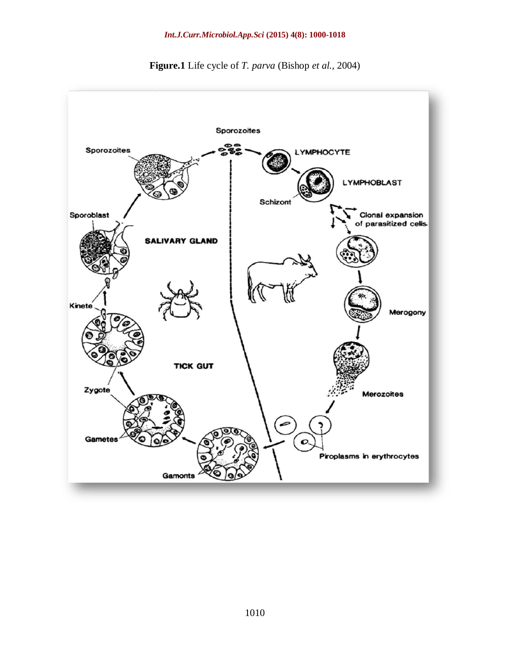

**Figure.1** Life cycle of *T. parva* (Bishop *et al.,* 2004)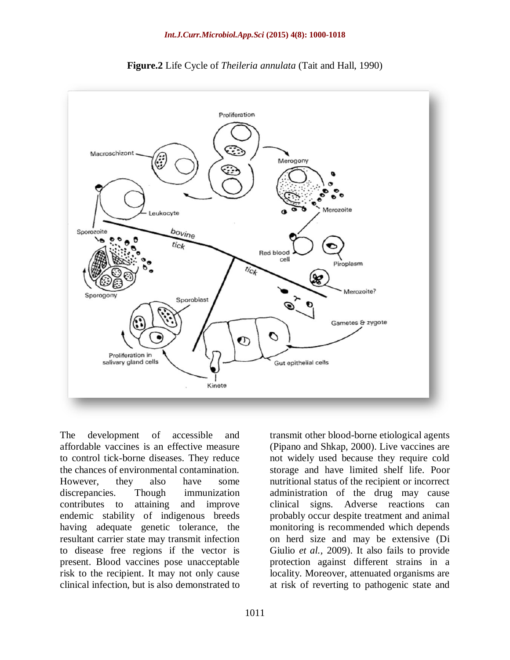



The development of accessible and affordable vaccines is an effective measure to control tick-borne diseases. They reduce the chances of environmental contamination. However, they also have some discrepancies. Though immunization contributes to attaining and improve endemic stability of indigenous breeds having adequate genetic tolerance, the resultant carrier state may transmit infection to disease free regions if the vector is present. Blood vaccines pose unacceptable risk to the recipient. It may not only cause clinical infection, but is also demonstrated to

transmit other blood-borne etiological agents (Pipano and Shkap, 2000). Live vaccines are not widely used because they require cold storage and have limited shelf life. Poor nutritional status of the recipient or incorrect administration of the drug may cause clinical signs. Adverse reactions can probably occur despite treatment and animal monitoring is recommended which depends on herd size and may be extensive (Di Giulio *et al.,* 2009). It also fails to provide protection against different strains in a locality. Moreover, attenuated organisms are at risk of reverting to pathogenic state and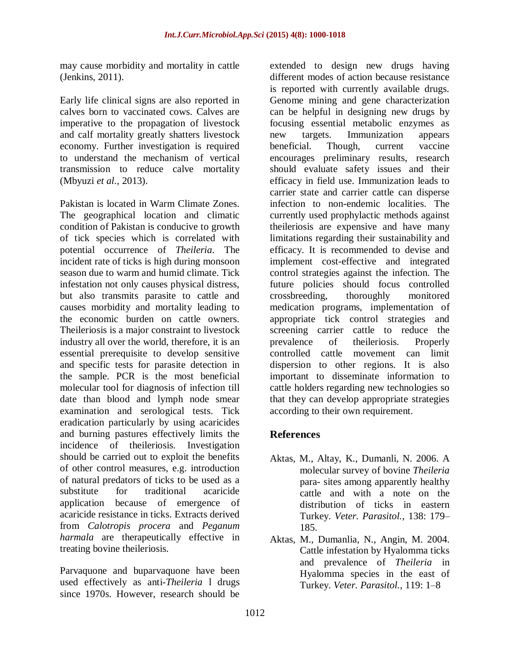may cause morbidity and mortality in cattle (Jenkins, 2011).

Early life clinical signs are also reported in calves born to vaccinated cows. Calves are imperative to the propagation of livestock and calf mortality greatly shatters livestock economy. Further investigation is required to understand the mechanism of vertical transmission to reduce calve mortality (Mbyuzi *et al.,* 2013).

Pakistan is located in Warm Climate Zones. The geographical location and climatic condition of Pakistan is conducive to growth of tick species which is correlated with potential occurrence of *Theileria*. The incident rate of ticks is high during monsoon season due to warm and humid climate. Tick infestation not only causes physical distress, but also transmits parasite to cattle and causes morbidity and mortality leading to the economic burden on cattle owners. Theileriosis is a major constraint to livestock industry all over the world, therefore, it is an essential prerequisite to develop sensitive and specific tests for parasite detection in the sample. PCR is the most beneficial molecular tool for diagnosis of infection till date than blood and lymph node smear examination and serological tests. Tick eradication particularly by using acaricides and burning pastures effectively limits the incidence of theileriosis. Investigation should be carried out to exploit the benefits of other control measures, e.g. introduction of natural predators of ticks to be used as a substitute for traditional acaricide application because of emergence of acaricide resistance in ticks. Extracts derived from *Calotropis procera* and *Peganum harmala* are therapeutically effective in treating bovine theileriosis.

Parvaquone and buparvaquone have been used effectively as anti-*Theileria* l drugs since 1970s. However, research should be

extended to design new drugs having different modes of action because resistance is reported with currently available drugs. Genome mining and gene characterization can be helpful in designing new drugs by focusing essential metabolic enzymes as new targets. Immunization appears beneficial. Though, current vaccine encourages preliminary results, research should evaluate safety issues and their efficacy in field use. Immunization leads to carrier state and carrier cattle can disperse infection to non-endemic localities. The currently used prophylactic methods against theileriosis are expensive and have many limitations regarding their sustainability and efficacy. It is recommended to devise and implement cost-effective and integrated control strategies against the infection. The future policies should focus controlled crossbreeding, thoroughly monitored medication programs, implementation of appropriate tick control strategies and screening carrier cattle to reduce the prevalence of theileriosis. Properly controlled cattle movement can limit dispersion to other regions. It is also important to disseminate information to cattle holders regarding new technologies so that they can develop appropriate strategies according to their own requirement.

# **References**

- Aktas, M., Altay, K., Dumanli, N. 2006. A molecular survey of bovine *Theileria* para- sites among apparently healthy cattle and with a note on the distribution of ticks in eastern Turkey. *Veter. Parasitol.,* 138: 179– 185.
- Aktas, M., Dumanlia, N., Angin, M. 2004. Cattle infestation by Hyalomma ticks and prevalence of *Theileria* in Hyalomma species in the east of Turkey. *Veter. Parasitol.,* 119: 1–8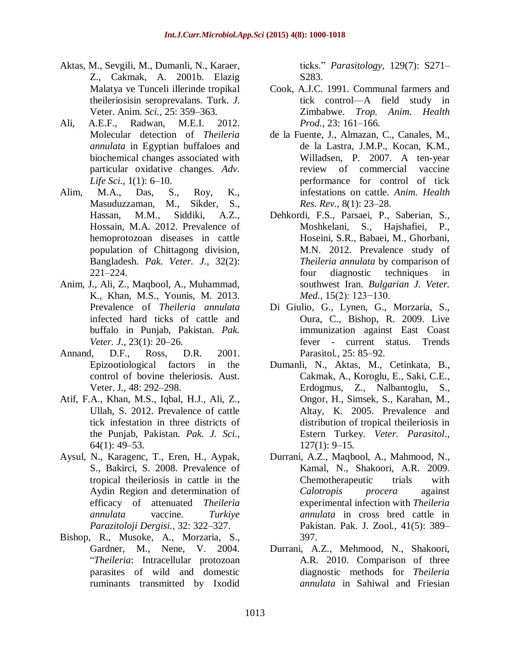- Aktas, M., Sevgili, M., Dumanli, N., Karaer, Z., Cakmak, A. 2001b. Elazig Malatya ve Tunceli illerinde tropikal theileriosisin seroprevalans. [Turk.](http://mistug.tubitak.gov.tr/bdyim/lastissue.php?dergi=vet) *J.*  [Veter.](http://mistug.tubitak.gov.tr/bdyim/lastissue.php?dergi=vet) Anim. *Sci.,* 25: 359–363.
- Ali, A.E.F., Radwan, M.E.I. 2012. Molecular detection of *Theileria annulata* in Egyptian buffaloes and biochemical changes associated with particular oxidative changes. *Adv. Life Sci.,* 1(1): 6–10.
- Alim, M.A., Das, S., Roy, K., Masuduzzaman, M., Sikder, S., Hassan, M.M., Siddiki, A.Z., Hossain, M.A. 2012. Prevalence of hemoprotozoan diseases in cattle population of Chittagong division, Bangladesh. *Pak. Veter. J.,* 32(2): 221–224.
- Anim, J., Ali, Z., Maqbool, A., Muhammad, K., Khan, M.S., Younis, M. 2013. Prevalence of *Theileria annulata* infected hard ticks of cattle and buffalo in Punjab, Pakistan. *Pak. Veter. J*.*,* 23(1): 20–26.
- Annand, D.F., Ross, D.R. 2001. Epizootiological factors in the control of bovine theleriosis. [Aust.](http://onlinelibrary.wiley.com/journal/10.1111/(ISSN)1751-0813) [Veter.](http://onlinelibrary.wiley.com/journal/10.1111/(ISSN)1751-0813) J*.,* 48: 292–298.
- Atif, F.A., Khan, M.S., Iqbal, H.J., Ali, Z., Ullah, S. 2012. Prevalence of cattle tick infestation in three districts of the Punjab, Pakistan. *Pak. J. Sci.,* 64(1): 49–53.
- Aysul, N., Karagenc, T., Eren, H., Aypak, S., Bakirci, S. 2008. Prevalence of tropical theileriosis in cattle in the Aydin Region and determination of efficacy of attenuated *Theileria annulata* vaccine. *Turkiye Parazitoloji Dergisi.,* 32: 322–327.
- Bishop, R., Musoke, A., Morzaria, S., Gardner, M., Nene, V. 2004. ―*Theileria*: Intracellular protozoan parasites of wild and domestic ruminants transmitted by Ixodid

ticks.‖ *Parasitology,* 129(7): S271– S283.

- Cook, A.J.C. 1991. Communal farmers and tick control—A field study in Zimbabwe. *Trop. Anim. Health Prod.,* 23: 161–166.
- de la Fuente, J., Almazan, C., Canales, M., de la Lastra, J.M.P., Kocan, K.M., Willadsen, P. 2007. A ten-year review of commercial vaccine performance for control of tick infestations on cattle. *Anim. Health Res. Rev.,* 8(1): 23–28.
- Dehkordi, F.S., Parsaei, P., Saberian, S., Moshkelani, S., Hajshafiei, P., Hoseini, S.R., Babaei, M., Ghorbani, M.N. 2012. Prevalence study of *Theileria annulata* by comparison of four diagnostic techniques in southwest Iran. *Bulgarian J. Veter. Med.,* 15(2): 123−130.
- Di Giulio, G., Lynen, G., Morzaria, S., Oura, C., Bishop, R. 2009. Live immunization against East Coast fever - current status. [Trends](http://www.sciencedirect.com/science/journal/14714922) [Parasitol](http://www.sciencedirect.com/science/journal/14714922)*.,* 25: 85–92.
- Dumanli, N., Aktas, M., Cetinkata, B., Cakmak, A., Koroglu, E., Saki, C.E., Erdogmus, Z., Nalbantoglu, S., Ongor, H., Simsek, S., Karahan, M., Altay, K. 2005. Prevalence and distribution of tropical theileriosis in Estern Turkey. *Veter. Parasitol*.*,* 127(1): 9–15.
- Durrani, A.Z., Maqbool, A., Mahmood, N., Kamal, N., Shakoori, A.R. 2009. Chemotherapeutic trials with *Calotropis procera* against experimental infection with *Theileria annulata* in cross bred cattle in Pakistan. Pak. J. [Zool](http://www.researchgate.net/journal/0030-9923_Pakistan_journal_of_zoology)*.,* 41(5): 389– 397.
- Durrani, A.Z., Mehmood, N., Shakoori, A.R. 2010. Comparison of three diagnostic methods for *Theileria annulata* in Sahiwal and Friesian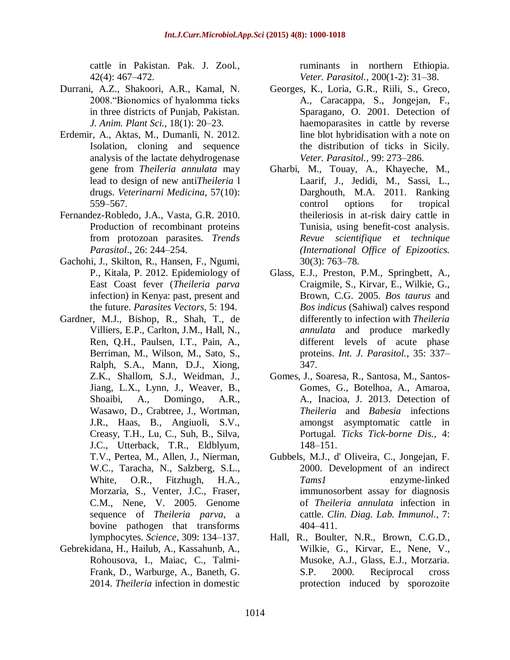cattle in Pakistan. Pak. J. [Zool](http://www.researchgate.net/journal/0030-9923_Pakistan_journal_of_zoology)*.,* 42(4): 467–472.

- Durrani, A.Z., Shakoori, A.R., Kamal, N. 2008. "Bionomics of hyalomma ticks in three districts of Punjab, Pakistan. *J. Anim. Plant Sci.,* 18(1): 20–23.
- Erdemir, A., Aktas, M., Dumanli, N. 2012. Isolation, cloning and sequence analysis of the lactate dehydrogenase gene from *Theileria annulata* may lead to design of new anti*Theileria* l drugs. *Veterinarni Medicina,* 57(10): 559–567.
- Fernandez-Robledo, J.A., Vasta, G.R. 2010. Production of recombinant proteins from protozoan parasites. *Trends Parasitol*., 26: 244–254.
- Gachohi, J., Skilton, R., Hansen, F., Ngumi, P., Kitala, P. 2012. Epidemiology of East Coast fever (*Theileria parva* infection) in Kenya: past, present and the future. *Parasites Vectors,* 5: 194.
- Gardner, M.J., Bishop, R., Shah, T., de Villiers, E.P., Carlton, J.M., Hall, N., Ren, Q.H., Paulsen, I.T., Pain, A., Berriman, M., Wilson, M., Sato, S., Ralph, S.A., Mann, D.J., Xiong, Z.K., Shallom, S.J., Weidman, J., Jiang, L.X., Lynn, J., Weaver, B., Shoaibi, A., Domingo, A.R., Wasawo, D., Crabtree, J., Wortman, J.R., Haas, B., Angiuoli, S.V., Creasy, T.H., Lu, C., Suh, B., Silva, J.C., Utterback, T.R., Eldblyum, T.V., Pertea, M., Allen, J., Nierman, W.C., Taracha, N., Salzberg, S.L., White, O.R., Fitzhugh, H.A., Morzaria, S., Venter, J.C., Fraser, C.M., Nene, V. 2005. Genome sequence of *Theileria parva*, a bovine pathogen that transforms lymphocytes. *Science,* 309: 134–137.
- Gebrekidana, H., Hailub, A., Kassahunb, A., Rohousova, I., Maiac, C., Talmi-Frank, D., Warburge, A., Baneth, G. 2014. *Theileria* infection in domestic

ruminants in northern Ethiopia. *Veter. Parasitol.,* 200(1-2): 31–38.

- Georges, K., Loria, G.R., Riili, S., Greco, A., Caracappa, S., Jongejan, F., Sparagano, O. 2001. Detection of haemoparasites in cattle by reverse line blot hybridisation with a note on the distribution of ticks in Sicily. *Veter. Parasitol.,* 99: 273–286.
- Gharbi, M., Touay, A., Khayeche, M., Laarif, J., Jedidi, M., Sassi, L., Darghouth, M.A. 2011. Ranking control options for tropical theileriosis in at-risk dairy cattle in Tunisia, using benefit-cost analysis. *Revue scientifique et technique (International Office of Epizootics.*  30(3): 763–78.
- Glass, E.J., Preston, P.M., Springbett, A., Craigmile, S., Kirvar, E., Wilkie, G., Brown, C.G. 2005. *Bos taurus* and *Bos indicus* (Sahiwal) calves respond differently to infection with *Theileria annulata* and produce markedly different levels of acute phase proteins. *Int. J. Parasitol.,* 35: 337– 347.
- Gomes, J., Soaresa, R., Santosa, M., Santos-Gomes, G., Botelhoa, A., Amaroa, A., Inacioa, J. 2013. Detection of *Theileria* and *Babesia* infections amongst asymptomatic cattle in Portugal. *Ticks Tick-borne Dis.,* 4: 148–151.
- Gubbels, M.J., d' Oliveira, C., Jongejan, F. 2000. Development of an indirect *Tams1* enzyme-linked immunosorbent assay for diagnosis of *Theileria annulata* infection in cattle. *[Clin. Diag.](http://www.ncbi.nlm.nih.gov/pmc/journals/84/) Lab. Immunol.,* 7: 404–411.
- Hall, R., Boulter, N.R., Brown, C.G.D., Wilkie, G., Kirvar, E., Nene, V., Musoke, A.J., Glass, E.J., Morzaria. S.P. 2000. Reciprocal cross protection induced by sporozoite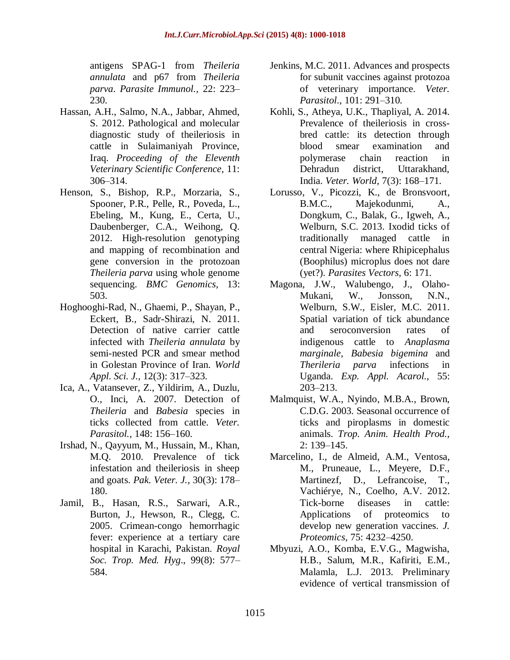antigens SPAG-1 from *Theileria annulata* and p67 from *Theileria parva*. *Parasite Immunol.,* 22: 223– 230.

- Hassan, A.H., Salmo, N.A., Jabbar, Ahmed, S. 2012. Pathological and molecular diagnostic study of theileriosis in cattle in Sulaimaniyah Province, Iraq. *Proceeding of the Eleventh Veterinary Scientific Conference,* 11: 306–314.
- Henson, S., Bishop, R.P., Morzaria, S., Spooner, P.R., Pelle, R., Poveda, L., Ebeling, M., Kung, E., Certa, U., Daubenberger, C.A., Weihong, Q. 2012. High-resolution genotyping and mapping of recombination and gene conversion in the protozoan *Theileria parva* using whole genome sequencing. *BMC Genomics,* 13: 503.
- Hoghooghi-Rad, N., Ghaemi, P., Shayan, P., Eckert, B., Sadr-Shirazi, N. 2011. Detection of native carrier cattle infected with *Theileria annulata* by semi-nested PCR and smear method in Golestan Province of Iran. *World Appl. Sci. J.,* 12(3): 317–323.
- Ica, A., Vatansever, Z., Yildirim, A., Duzlu, O., Inci, A. 2007. Detection of *Theileria* and *Babesia* species in ticks collected from cattle. *Veter. Parasitol.,* 148: 156–160.
- Irshad, N., Qayyum, M., Hussain, M., Khan, M.Q. 2010. Prevalence of tick infestation and theileriosis in sheep and goats. *Pak. Veter. J.,* 30(3): 178– 180.
- Jamil, B., Hasan, R.S., Sarwari, A.R., Burton, J., Hewson, R., Clegg, C. 2005. Crimean-congo hemorrhagic fever: experience at a tertiary care hospital in Karachi, Pakistan. *[Royal](https://rstmh.org/) Soc. [Trop.](https://rstmh.org/) Med. Hyg*., 99(8): 577– 584.
- Jenkins, M.C. 2011. Advances and prospects for subunit vaccines against protozoa of veterinary importance. *Veter. Parasitol*., 101: 291–310.
- Kohli, S., Atheya, U.K., Thapliyal, A. 2014. Prevalence of theileriosis in crossbred cattle: its detection through blood smear examination and polymerase chain reaction in Dehradun district, Uttarakhand, India. *Veter. World,* 7(3): 168–171.
- Lorusso, V., Picozzi, K., de Bronsvoort, B.M.C., Majekodunmi, A., Dongkum, C., Balak, G., Igweh, A., Welburn, S.C. 2013. Ixodid ticks of traditionally managed cattle in central Nigeria: where Rhipicephalus (Boophilus) microplus does not dare (yet?). *Parasites Vectors,* 6: 171.
- Magona, J.W., Walubengo, J., Olaho-Mukani, W., Jonsson, N.N., Welburn, S.W., Eisler, M.C. 2011. Spatial variation of tick abundance and seroconversion rates of indigenous cattle to *Anaplasma marginale*, *Babesia bigemina* and *Therileria parva* infections in Uganda. *Exp. Appl. [Acarol.](http://www.researchgate.net/journal/1572-9702_Experimental_and_Applied_Acarology),* 55: 203–213.
- Malmquist, W.A., Nyindo, M.B.A., Brown, C.D.G. 2003. Seasonal occurrence of ticks and piroplasms in domestic animals. *Trop. Anim. [Health Prod.](http://www.springer.com/life+sciences/animal+sciences/journal/11250),* 2: 139–145.
- Marcelino, I., de Almeid, A.M., Ventosa, M., Pruneaue, L., Meyere, D.F., Martinezf, D., Lefrancoise, T., Vachiérye, N., Coelho, A.V. 2012. Tick-borne diseases in cattle: Applications of proteomics to develop new generation vaccines. *J. Proteomics,* 75: 4232–4250.
- Mbyuzi, A.O., Komba, E.V.G., Magwisha, H.B., Salum, M.R., Kafiriti, E.M., Malamla, L.J. 2013. Preliminary evidence of vertical transmission of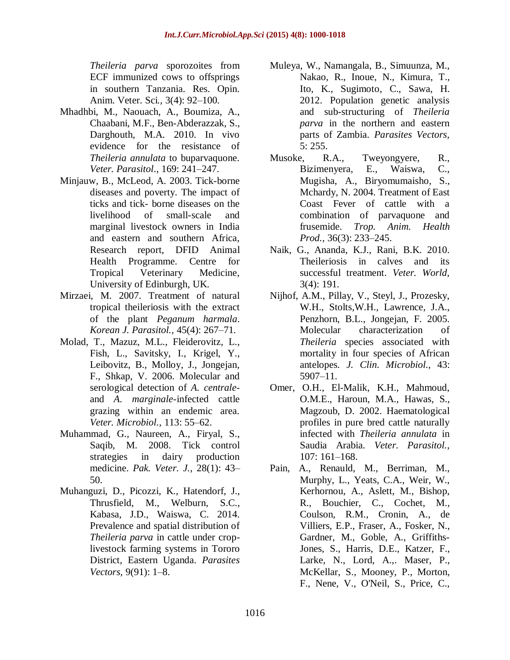*Theileria parva* sporozoites from ECF immunized cows to offsprings in southern Tanzania. Res. [Opin.](http://journals.indexcopernicus.com/Research+Opinions+in+Animal+and+Veterinary+Sciences,p5600,3.html) [Anim.](http://journals.indexcopernicus.com/Research+Opinions+in+Animal+and+Veterinary+Sciences,p5600,3.html) Veter. Sci*.,* 3(4): 92–100.

- Mhadhbi, M., Naouach, A., Boumiza, A., Chaabani, M.F., Ben-Abderazzak, S., Darghouth, M.A. 2010. In vivo evidence for the resistance of *Theileria annulata* to buparvaquone. *Veter. Parasitol*.*,* 169: 241–247.
- Minjauw, B., McLeod, A. 2003. Tick-borne diseases and poverty. The impact of ticks and tick- borne diseases on the livelihood of small-scale and marginal livestock owners in India and eastern and southern Africa, Research report, DFID Animal Health Programme. Centre for Tropical Veterinary Medicine, University of Edinburgh, UK.
- Mirzaei, M. 2007. Treatment of natural tropical theileriosis with the extract of the plant *Peganum harmala*. *Korean J. Parasitol.,* 45(4): 267–71.
- Molad, T., Mazuz, M.L., Fleiderovitz, L., Fish, L., Savitsky, I., Krigel, Y., Leibovitz, B., Molloy, J., Jongejan, F., Shkap, V. 2006. Molecular and serological detection of *A. centrale*and *A. marginale*-infected cattle grazing within an endemic area. *Veter. Microbiol.,* 113: 55–62.
- Muhammad, G., Naureen, A., Firyal, S., Saqib, M. 2008. Tick control strategies in dairy production medicine. *Pak. Veter. J.,* 28(1): 43– 50.
- Muhanguzi, D., Picozzi, K., Hatendorf, J., Thrusfield, M., Welburn, S.C., Kabasa, J.D., Waiswa, C. 2014. Prevalence and spatial distribution of *Theileria parva* in cattle under croplivestock farming systems in Tororo District, Eastern Uganda. *Parasites Vectors,* 9(91): 1–8.
- Muleya, W., Namangala, B., Simuunza, M., Nakao, R., Inoue, N., Kimura, T., Ito, K., Sugimoto, C., Sawa, H. 2012. Population genetic analysis and sub-structuring of *Theileria parva* in the northern and eastern parts of Zambia. *Parasites Vectors,* 5: 255.
- Musoke, R.A., Tweyongyere, R., Bizimenyera, E., Waiswa, C., Mugisha, A., Biryomumaisho, S., Mchardy, N. 2004. Treatment of East Coast Fever of cattle with a combination of parvaquone and frusemide. *Trop. Anim. Health Prod.,* 36(3): 233–245.
- Naik, G., Ananda, K.J., Rani, B.K. 2010. Theileriosis in calves and its successful treatment. *Veter. World,* 3(4): 191.
- Nijhof, A.M., Pillay, V., Steyl, J., Prozesky, W.H., Stolts,W.H., Lawrence, J.A., Penzhorn, B.L., Jongejan, F. 2005. Molecular characterization of *Theileria* species associated with mortality in four species of African antelopes. *J. Clin. Microbiol.,* 43: 5907–11.
- Omer, O.H., El-Malik, K.H., Mahmoud, O.M.E., Haroun, M.A., Hawas, S., Magzoub, D. 2002. Haematological profiles in pure bred cattle naturally infected with *Theileria annulata* in Saudia Arabia. *Veter. Parasitol.,* 107: 161–168.
- Pain, A., Renauld, M., Berriman, M., Murphy, L., Yeats, C.A., Weir, W., Kerhornou, A., Aslett, M., Bishop, R., Bouchier, C., Cochet, M., Coulson, R.M., Cronin, A., de Villiers, E.P., Fraser, A., Fosker, N., Gardner, M., Goble, A., Griffiths-Jones, S., Harris, D.E., Katzer, F., Larke, N., Lord, A.,. Maser, P., McKellar, S., Mooney, P., Morton, F., Nene, V., O'Neil, S., Price, C.,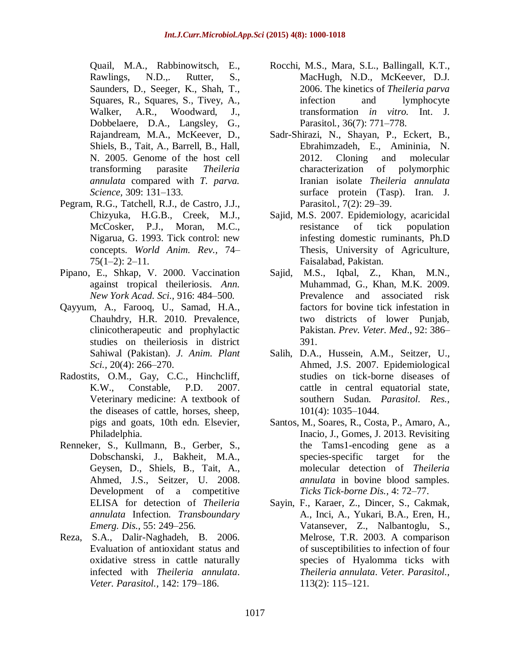- Quail, M.A., Rabbinowitsch, E., Rawlings, N.D.,. Rutter, S., Saunders, D., Seeger, K., Shah, T., Squares, R., Squares, S., Tivey, A., Walker, A.R., Woodward, J., Dobbelaere, D.A., Langsley, G., Rajandream, M.A., McKeever, D., Shiels, B., Tait, A., Barrell, B., Hall, N. 2005. Genome of the host cell transforming parasite *Theileria annulata* compared with *T. parva. Science,* 309: 131–133.
- Pegram, R.G., Tatchell, R.J., de Castro, J.J., Chizyuka, H.G.B., Creek, M.J., McCosker, P.J., Moran, M.C., Nigarua, G. 1993. Tick control: new concepts. *World Anim. Rev.,* 74–  $75(1-2): 2-11.$
- Pipano, E., Shkap, V. 2000. Vaccination against tropical theileriosis. *Ann. New York Acad. Sci.,* 916: 484–500.
- Qayyum, A., Farooq, U., Samad, H.A., Chauhdry, H.R. 2010. Prevalence, clinicotherapeutic and prophylactic studies on theileriosis in district Sahiwal (Pakistan). *J. Anim. Plant Sci.,* 20(4): 266–270.
- Radostits, O.M., Gay, C.C., Hinchcliff, K.W., Constable, P.D. 2007. Veterinary medicine: A textbook of the diseases of cattle, horses, sheep, pigs and goats, 10th edn. Elsevier, Philadelphia.
- Renneker, S., Kullmann, B., Gerber, S., Dobschanski, J., Bakheit, M.A., Geysen, D., Shiels, B., Tait, A., Ahmed, J.S., Seitzer, U. 2008. Development of a competitive ELISA for detection of *Theileria annulata* Infection. *Transboundary Emerg. Dis.,* 55: 249–256.
- Reza, S.A., Dalir-Naghadeh, B. 2006. Evaluation of antioxidant status and oxidative stress in cattle naturally infected with *Theileria annulata*. *Veter. Parasitol.,* 142: 179–186.
- Rocchi, M.S., Mara, S.L., Ballingall, K.T., MacHugh, N.D., McKeever, D.J. 2006. The kinetics of *Theileria parva* infection and lymphocyte transformation *in vitro.* [Int.](http://www.journals.elsevier.com/international-journal-for-parasitology/) J. [Parasitol](http://www.journals.elsevier.com/international-journal-for-parasitology/)*.,* 36(7): 771–778.
- Sadr-Shirazi, N., Shayan, P., Eckert, B., Ebrahimzadeh, E., Amininia, N. 2012. Cloning and molecular characterization of polymorphic Iranian isolate *Theileria annulata* surface protein (Tasp). [Iran.](http://ijpa.tums.ac.ir/) J. [Parasitol](http://ijpa.tums.ac.ir/)*.,* 7(2): 29–39.
- Sajid, M.S. 2007. Epidemiology, acaricidal resistance of tick population infesting domestic ruminants, Ph.D Thesis, University of Agriculture, Faisalabad, Pakistan.
- Sajid, M.S., Iqbal, Z., Khan, M.N., Muhammad, G., Khan, M.K. 2009. Prevalence and associated risk factors for bovine tick infestation in two districts of lower Punjab, Pakistan. *Prev. [Veter.](http://www.sciencedirect.com/science/journal/01675877) Med*., 92: 386– 391.
- Salih, D.A., Hussein, A.M., Seitzer, U., Ahmed, J.S. 2007. Epidemiological studies on tick-borne diseases of cattle in central equatorial state, southern Sudan. *Parasitol. Res.,* 101(4): 1035–1044.
- Santos, M., Soares, R., Costa, P., Amaro, A., Inacio, J., Gomes, J. 2013. Revisiting the Tams1-encoding gene as a species-specific target for the molecular detection of *Theileria annulata* in bovine blood samples. *Ticks Tick-borne Dis.,* 4: 72–77.
- Sayin, F., Karaer, Z., Dincer, S., Cakmak, A., Inci, A., Yukari, B.A., Eren, H., Vatansever, Z., Nalbantoglu, S., Melrose, T.R. 2003. A comparison of susceptibilities to infection of four species of Hyalomma ticks with *Theileria annulata*. *Veter. Parasitol.,* 113(2): 115–121.